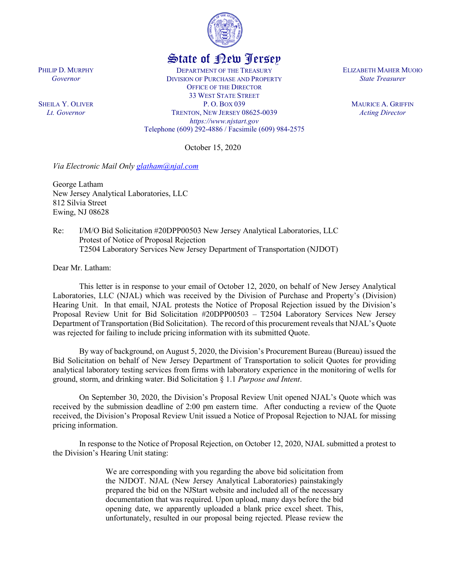

## State of New Jersey

DEPARTMENT OF THE TREASURY DIVISION OF PURCHASE AND PROPERTY OFFICE OF THE DIRECTOR 33 WEST STATE STREET P. O. BOX 039 TRENTON, NEW JERSEY 08625-0039 *https://www.njstart.gov* Telephone (609) 292-4886 / Facsimile (609) 984-2575

October 15, 2020

*Via Electronic Mail Only [glatham@njal.com](mailto:glatham@njal.com)*

George Latham New Jersey Analytical Laboratories, LLC 812 Silvia Street Ewing, NJ 08628

Re: I/M/O Bid Solicitation #20DPP00503 New Jersey Analytical Laboratories, LLC Protest of Notice of Proposal Rejection T2504 Laboratory Services New Jersey Department of Transportation (NJDOT)

Dear Mr. Latham:

PHILIP D. MURPHY *Governor*

SHEILA Y. OLIVER *Lt. Governor*

> This letter is in response to your email of October 12, 2020, on behalf of New Jersey Analytical Laboratories, LLC (NJAL) which was received by the Division of Purchase and Property's (Division) Hearing Unit. In that email, NJAL protests the Notice of Proposal Rejection issued by the Division's Proposal Review Unit for Bid Solicitation #20DPP00503 – T2504 Laboratory Services New Jersey Department of Transportation (Bid Solicitation). The record of this procurement reveals that NJAL's Quote was rejected for failing to include pricing information with its submitted Quote.

> By way of background, on August 5, 2020, the Division's Procurement Bureau (Bureau) issued the Bid Solicitation on behalf of New Jersey Department of Transportation to solicit Quotes for providing analytical laboratory testing services from firms with laboratory experience in the monitoring of wells for ground, storm, and drinking water. Bid Solicitation § 1.1 *Purpose and Intent*.

> On September 30, 2020, the Division's Proposal Review Unit opened NJAL's Quote which was received by the submission deadline of 2:00 pm eastern time. After conducting a review of the Quote received, the Division's Proposal Review Unit issued a Notice of Proposal Rejection to NJAL for missing pricing information.

> In response to the Notice of Proposal Rejection, on October 12, 2020, NJAL submitted a protest to the Division's Hearing Unit stating:

> > We are corresponding with you regarding the above bid solicitation from the NJDOT. NJAL (New Jersey Analytical Laboratories) painstakingly prepared the bid on the NJStart website and included all of the necessary documentation that was required. Upon upload, many days before the bid opening date, we apparently uploaded a blank price excel sheet. This, unfortunately, resulted in our proposal being rejected. Please review the

ELIZABETH MAHER MUOIO *State Treasurer*

> MAURICE A. GRIFFIN *Acting Director*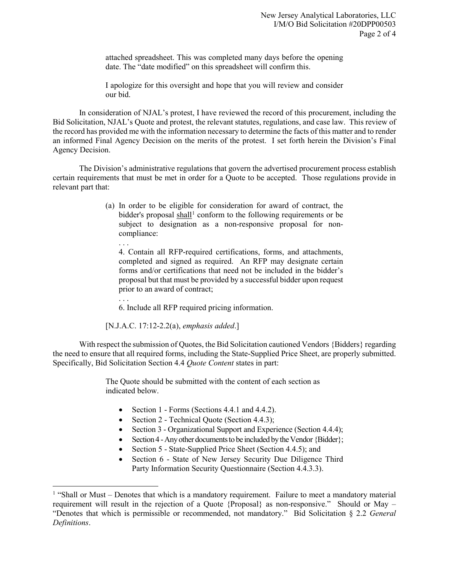attached spreadsheet. This was completed many days before the opening date. The "date modified" on this spreadsheet will confirm this.

I apologize for this oversight and hope that you will review and consider our bid.

In consideration of NJAL's protest, I have reviewed the record of this procurement, including the Bid Solicitation, NJAL's Quote and protest, the relevant statutes, regulations, and case law. This review of the record has provided me with the information necessary to determine the facts of this matter and to render an informed Final Agency Decision on the merits of the protest. I set forth herein the Division's Final Agency Decision.

The Division's administrative regulations that govern the advertised procurement process establish certain requirements that must be met in order for a Quote to be accepted. Those regulations provide in relevant part that:

- (a) In order to be eligible for consideration for award of contract, the bidder's proposal shall<sup>[1](#page-1-0)</sup> conform to the following requirements or be subject to designation as a non-responsive proposal for noncompliance:
	- . . .

 $\overline{a}$ 

4. Contain all RFP-required certifications, forms, and attachments, completed and signed as required. An RFP may designate certain forms and/or certifications that need not be included in the bidder's proposal but that must be provided by a successful bidder upon request prior to an award of contract;

. . . 6. Include all RFP required pricing information.

[N.J.A.C. 17:12-2.2(a), *emphasis added*.]

With respect the submission of Quotes, the Bid Solicitation cautioned Vendors {Bidders} regarding the need to ensure that all required forms, including the State-Supplied Price Sheet, are properly submitted. Specifically, Bid Solicitation Section 4.4 *Quote Content* states in part:

> The Quote should be submitted with the content of each section as indicated below.

- Section 1 Forms (Sections 4.4.1 and 4.4.2).
- Section 2 Technical Quote (Section 4.4.3);
- Section 3 Organizational Support and Experience (Section 4.4.4);
- Section 4 -Any other documents to be included by the Vendor {Bidder};
- Section 5 State-Supplied Price Sheet (Section 4.4.5); and
- Section 6 State of New Jersey Security Due Diligence Third Party Information Security Questionnaire (Section 4.4.3.3).

<span id="page-1-0"></span> $<sup>1</sup>$  "Shall or Must – Denotes that which is a mandatory requirement. Failure to meet a mandatory material</sup> requirement will result in the rejection of a Quote {Proposal} as non-responsive." Should or May – "Denotes that which is permissible or recommended, not mandatory." Bid Solicitation § 2.2 *General Definitions*.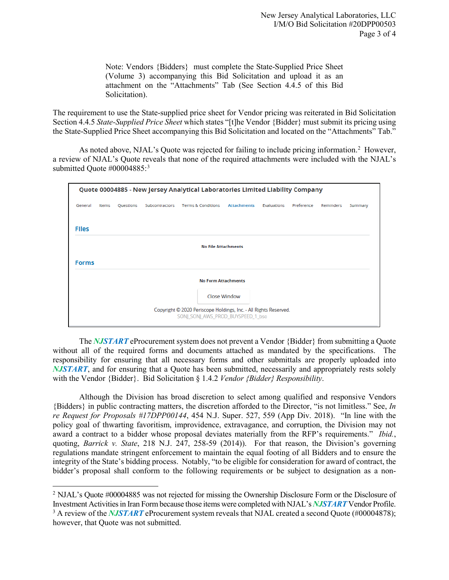Note: Vendors {Bidders} must complete the State-Supplied Price Sheet (Volume 3) accompanying this Bid Solicitation and upload it as an attachment on the "Attachments" Tab (See Section 4.4.5 of this Bid Solicitation).

The requirement to use the State-supplied price sheet for Vendor pricing was reiterated in Bid Solicitation Section 4.4.5 *State-Supplied Price Sheet* which states "[t]he Vendor {Bidder} must submit its pricing using the State-Supplied Price Sheet accompanying this Bid Solicitation and located on the "Attachments" Tab."

As noted above, NJAL's Quote was rejected for failing to include pricing information.<sup>[2](#page-2-0)</sup> However, a review of NJAL's Quote reveals that none of the required attachments were included with the NJAL's submitted Quote #00004885:<sup>[3](#page-2-1)</sup>

| Quote 00004885 - New Jersey Analytical Laboratories Limited Liability Company                         |       |           |                |                               |                    |             |            |           |         |
|-------------------------------------------------------------------------------------------------------|-------|-----------|----------------|-------------------------------|--------------------|-------------|------------|-----------|---------|
| General                                                                                               | Items | Questions | Subcontractors | <b>Terms &amp; Conditions</b> | <b>Attachments</b> | Evaluations | Preference | Reminders | Summary |
| <b>Files</b>                                                                                          |       |           |                |                               |                    |             |            |           |         |
| <b>No File Attachments</b>                                                                            |       |           |                |                               |                    |             |            |           |         |
| <b>Forms</b>                                                                                          |       |           |                |                               |                    |             |            |           |         |
| <b>No Form Attachments</b>                                                                            |       |           |                |                               |                    |             |            |           |         |
|                                                                                                       |       |           |                |                               | Close Window       |             |            |           |         |
| Copyright © 2020 Periscope Holdings, Inc. - All Rights Reserved.<br>SONJ SONJ AWS PROD BUYSPEED 1 bso |       |           |                |                               |                    |             |            |           |         |

The *NJSTART* eProcurement system does not prevent a Vendor {Bidder} from submitting a Quote without all of the required forms and documents attached as mandated by the specifications. The responsibility for ensuring that all necessary forms and other submittals are properly uploaded into *NJSTART*, and for ensuring that a Quote has been submitted, necessarily and appropriately rests solely with the Vendor {Bidder}. Bid Solicitation § 1.4.2 *Vendor {Bidder} Responsibility*.

Although the Division has broad discretion to select among qualified and responsive Vendors {Bidders} in public contracting matters, the discretion afforded to the Director, "is not limitless." See, *In re Request for Proposals #17DPP00144*, 454 N.J. Super. 527, 559 (App Div. 2018). "In line with the policy goal of thwarting favoritism, improvidence, extravagance, and corruption, the Division may not award a contract to a bidder whose proposal deviates materially from the RFP's requirements." *Ibid.*, quoting, *Barrick v. State*, 218 N.J. 247, 258-59 (2014)). For that reason, the Division's governing regulations mandate stringent enforcement to maintain the equal footing of all Bidders and to ensure the integrity of the State's bidding process. Notably, "to be eligible for consideration for award of contract, the bidder's proposal shall conform to the following requirements or be subject to designation as a non-

 $\overline{a}$ 

<span id="page-2-0"></span><sup>2</sup> NJAL's Quote #00004885 was not rejected for missing the Ownership Disclosure Form or the Disclosure of Investment Activities in Iran Form because those items were completed with NJAL's *NJSTART* Vendor Profile.

<span id="page-2-1"></span><sup>&</sup>lt;sup>3</sup> A review of the *NJSTART* eProcurement system reveals that NJAL created a second Quote (#00004878); however, that Quote was not submitted.